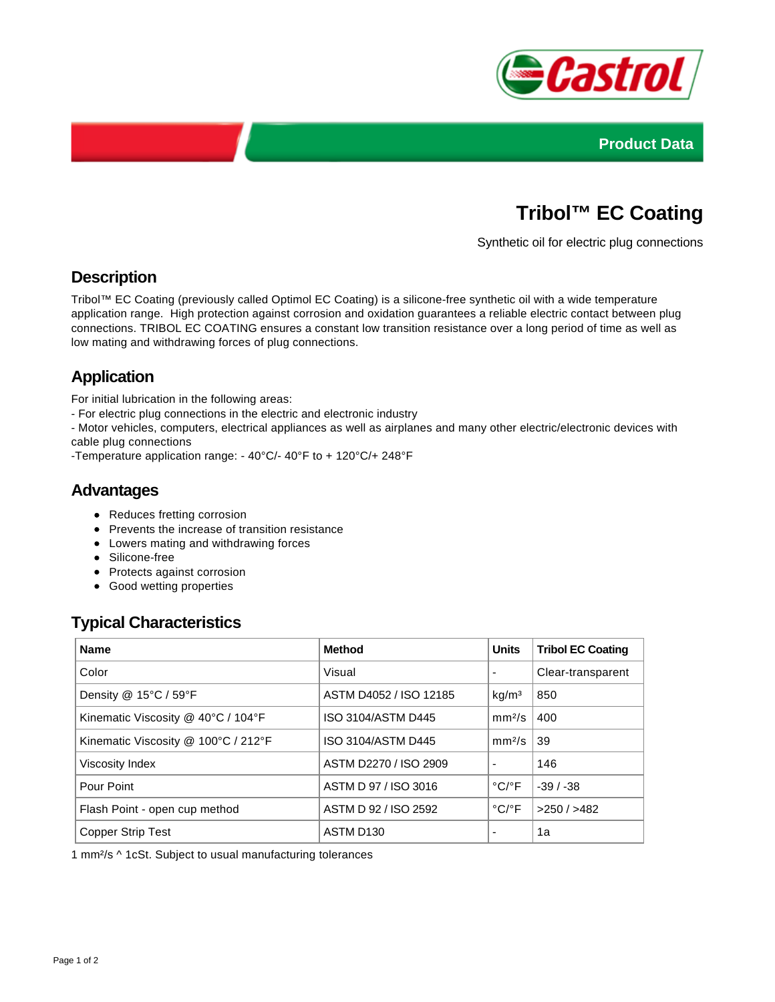



# **Tribol™ EC Coating**

Synthetic oil for electric plug connections

### **Description**

Tribol™ EC Coating (previously called Optimol EC Coating) is a silicone-free synthetic oil with a wide temperature application range. High protection against corrosion and oxidation guarantees a reliable electric contact between plug connections. TRIBOL EC COATING ensures a constant low transition resistance over a long period of time as well as low mating and withdrawing forces of plug connections.

## **Application**

For initial lubrication in the following areas:

- For electric plug connections in the electric and electronic industry

- Motor vehicles, computers, electrical appliances as well as airplanes and many other electric/electronic devices with cable plug connections

-Temperature application range: - 40°C/- 40°F to + 120°C/+ 248°F

#### **Advantages**

- Reduces fretting corrosion
- Prevents the increase of transition resistance
- Lowers mating and withdrawing forces
- Silicone-free
- Protects against corrosion
- Good wetting properties

#### **Typical Characteristics**

| <b>Name</b>                         | <b>Method</b>          | <b>Units</b>               | <b>Tribol EC Coating</b> |
|-------------------------------------|------------------------|----------------------------|--------------------------|
| Color                               | Visual                 |                            | Clear-transparent        |
| Density @ 15°C / 59°F               | ASTM D4052 / ISO 12185 | kg/m <sup>3</sup>          | 850                      |
| Kinematic Viscosity @ 40°C / 104°F  | ISO 3104/ASTM D445     | mm <sup>2</sup> /s         | 400                      |
| Kinematic Viscosity @ 100°C / 212°F | ISO 3104/ASTM D445     | mm <sup>2</sup> /s         | 39                       |
| Viscosity Index                     | ASTM D2270 / ISO 2909  |                            | 146                      |
| Pour Point                          | ASTM D 97 / ISO 3016   | $^{\circ}$ C/ $^{\circ}$ F | $-39/ -38$               |
| Flash Point - open cup method       | ASTM D 92 / ISO 2592   | $^{\circ}$ C/ $^{\circ}$ F | $>250/$ $>482$           |
| <b>Copper Strip Test</b>            | ASTM D <sub>130</sub>  |                            | 1a                       |

1 mm²/s ^ 1cSt. Subject to usual manufacturing tolerances